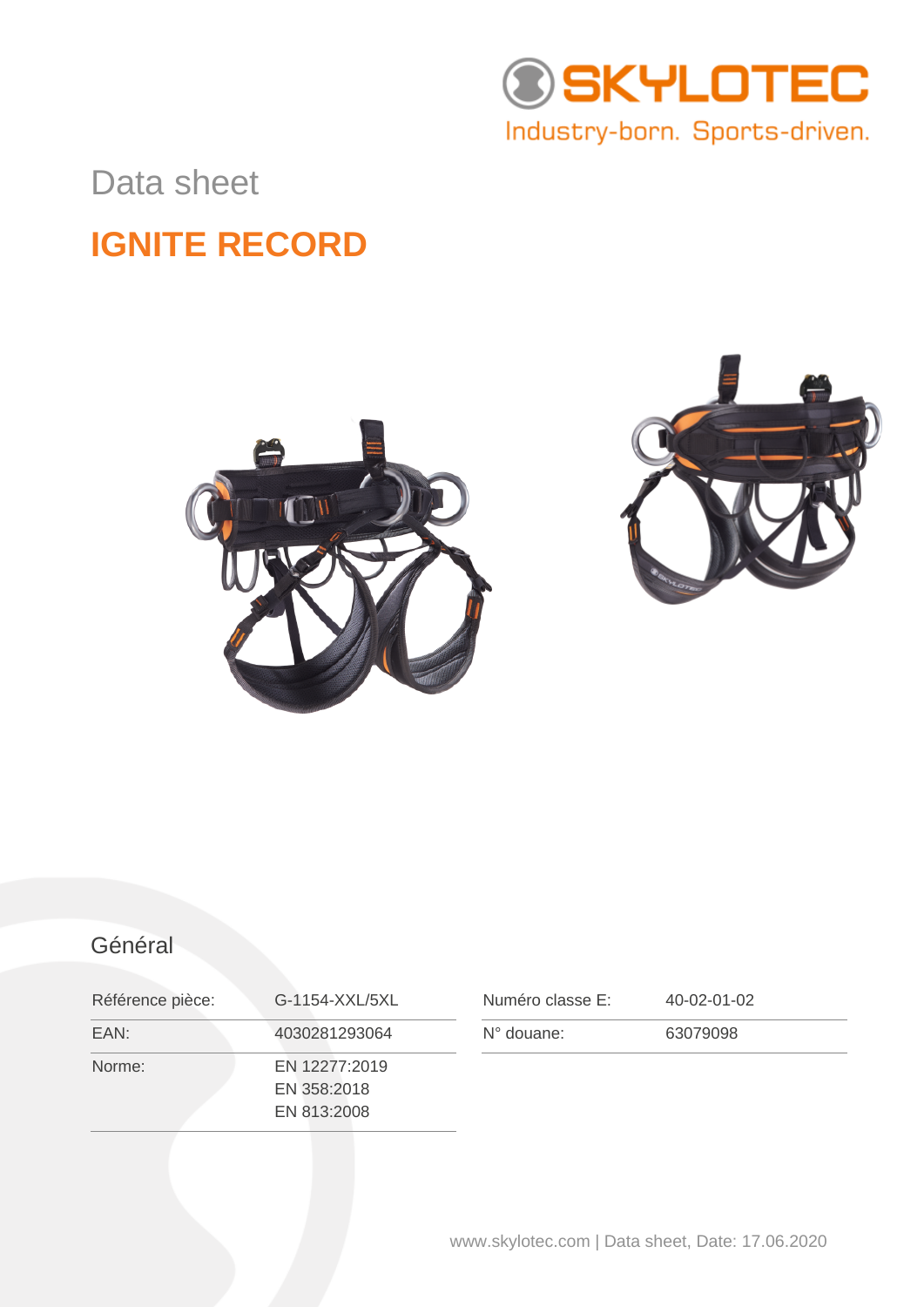

### Data sheet

## **IGNITE RECORD**





### Général

| Référence pièce: | G-1154-XXL/5XL                              | Numéro classe E:    | 40-02-01-02 |
|------------------|---------------------------------------------|---------------------|-------------|
| EAN:             | 4030281293064                               | $N^{\circ}$ douane: | 63079098    |
| Norme:           | EN 12277:2019<br>EN 358:2018<br>EN 813:2008 |                     |             |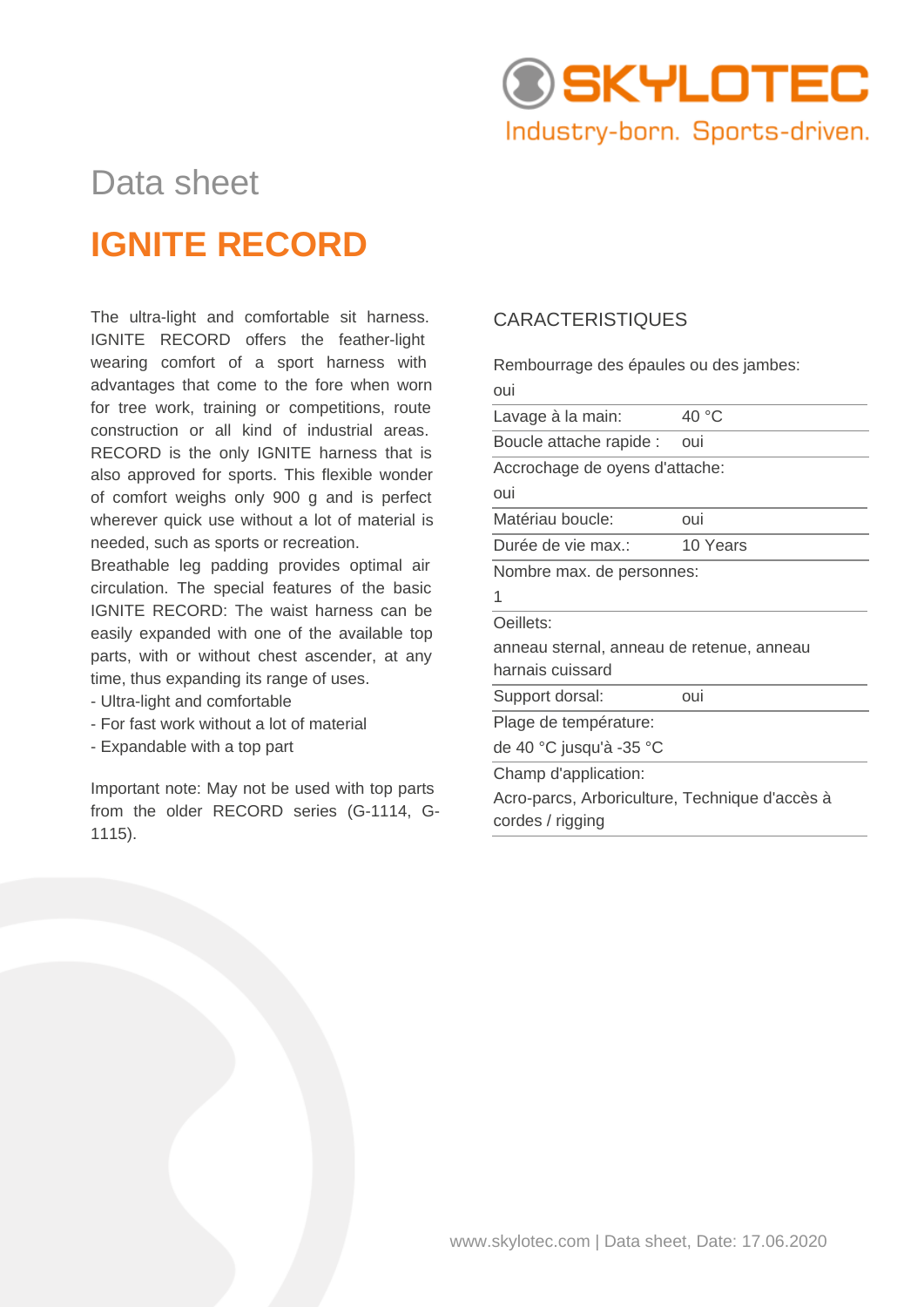

# Data sheet **IGNITE RECORD**

The ultra-light and comfortable sit harness. IGNITE RECORD offers the feather-light wearing comfort of a sport harness with advantages that come to the fore when worn for tree work, training or competitions, route construction or all kind of industrial areas. RECORD is the only IGNITE harness that is also approved for sports. This flexible wonder of comfort weighs only 900 g and is perfect wherever quick use without a lot of material is needed, such as sports or recreation.

Breathable leg padding provides optimal air circulation. The special features of the basic IGNITE RECORD: The waist harness can be easily expanded with one of the available top parts, with or without chest ascender, at any time, thus expanding its range of uses.

- Ultra-light and comfortable
- For fast work without a lot of material
- Expandable with a top part

Important note: May not be used with top parts from the older RECORD series (G-1114, G-1115).

#### CARACTERISTIQUES

oui

cordes / rigging

Rembourrage des épaules ou des jambes:

| Lavage à la main:                              | 40 °C    |  |  |  |
|------------------------------------------------|----------|--|--|--|
| Boucle attache rapide :                        | oui      |  |  |  |
| Accrochage de oyens d'attache:                 |          |  |  |  |
| oui                                            |          |  |  |  |
| Matériau boucle:                               | oui      |  |  |  |
| Durée de vie max.:                             | 10 Years |  |  |  |
| Nombre max. de personnes:                      |          |  |  |  |
| 1                                              |          |  |  |  |
| Oeillets:                                      |          |  |  |  |
| anneau sternal, anneau de retenue, anneau      |          |  |  |  |
| harnais cuissard                               |          |  |  |  |
| Support dorsal:                                | oui      |  |  |  |
| Plage de température:                          |          |  |  |  |
| de 40 °C jusqu'à -35 °C                        |          |  |  |  |
| Champ d'application:                           |          |  |  |  |
| Acro-parcs, Arboriculture, Technique d'accès à |          |  |  |  |

www.skylotec.com | Data sheet, Date: 17.06.2020